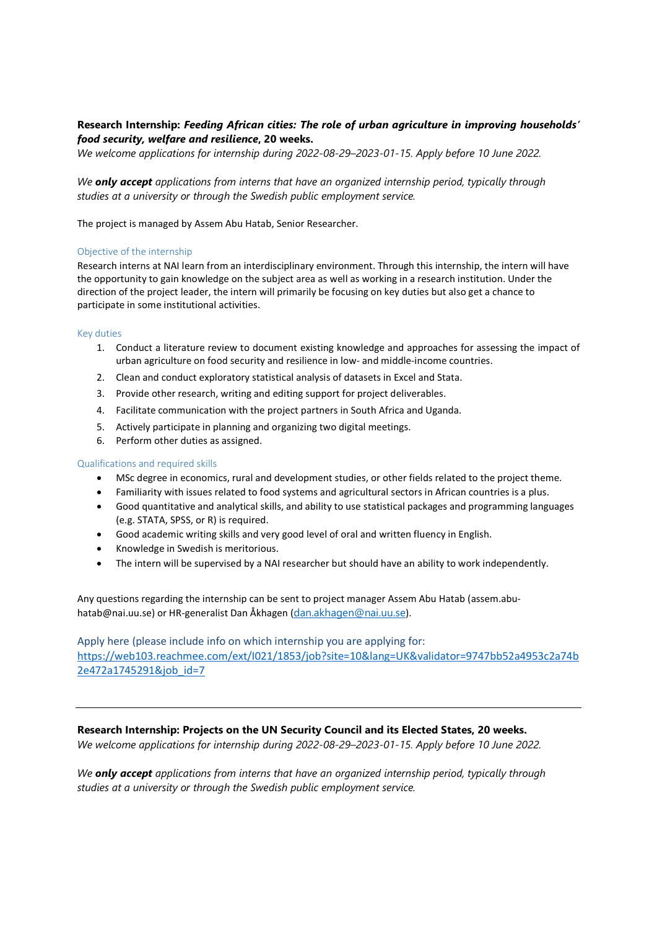# Research Internship: Feeding African cities: The role of urban agriculture in improving households' food security, welfare and resilience, 20 weeks.

We welcome applications for internship during 2022-08-29–2023-01-15. Apply before 10 June 2022.

We **only accept** applications from interns that have an organized internship period, typically through studies at a university or through the Swedish public employment service.

The project is managed by Assem Abu Hatab, Senior Researcher.

## Objective of the internship

Research interns at NAI learn from an interdisciplinary environment. Through this internship, the intern will have the opportunity to gain knowledge on the subject area as well as working in a research institution. Under the direction of the project leader, the intern will primarily be focusing on key duties but also get a chance to participate in some institutional activities.

#### Key duties

- 1. Conduct a literature review to document existing knowledge and approaches for assessing the impact of urban agriculture on food security and resilience in low- and middle-income countries.
- 2. Clean and conduct exploratory statistical analysis of datasets in Excel and Stata.
- 3. Provide other research, writing and editing support for project deliverables.
- 4. Facilitate communication with the project partners in South Africa and Uganda.
- 5. Actively participate in planning and organizing two digital meetings.
- 6. Perform other duties as assigned.

#### Qualifications and required skills

- MSc degree in economics, rural and development studies, or other fields related to the project theme.
- Familiarity with issues related to food systems and agricultural sectors in African countries is a plus.
- Good quantitative and analytical skills, and ability to use statistical packages and programming languages (e.g. STATA, SPSS, or R) is required.
- Good academic writing skills and very good level of oral and written fluency in English.
- Knowledge in Swedish is meritorious.
- The intern will be supervised by a NAI researcher but should have an ability to work independently.

Any questions regarding the internship can be sent to project manager Assem Abu Hatab (assem.abuhatab@nai.uu.se) or HR-generalist Dan Åkhagen (dan.akhagen@nai.uu.se).

Apply here (please include info on which internship you are applying for: https://web103.reachmee.com/ext/I021/1853/job?site=10&lang=UK&validator=9747bb52a4953c2a74b 2e472a1745291&job\_id=7

# Research Internship: Projects on the UN Security Council and its Elected States, 20 weeks.

We welcome applications for internship during 2022-08-29–2023-01-15. Apply before 10 June 2022.

We **only accept** applications from interns that have an organized internship period, typically through studies at a university or through the Swedish public employment service.